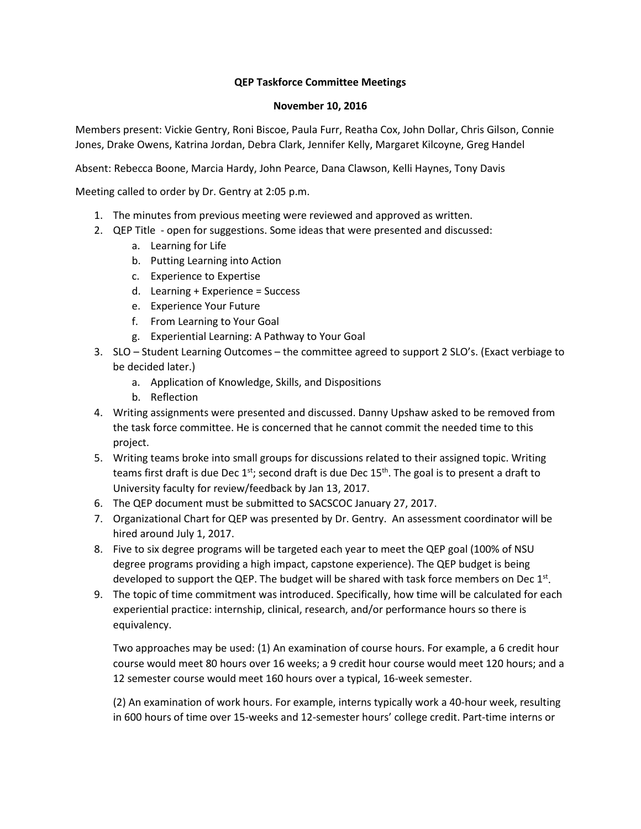## **QEP Taskforce Committee Meetings**

## **November 10, 2016**

Members present: Vickie Gentry, Roni Biscoe, Paula Furr, Reatha Cox, John Dollar, Chris Gilson, Connie Jones, Drake Owens, Katrina Jordan, Debra Clark, Jennifer Kelly, Margaret Kilcoyne, Greg Handel

Absent: Rebecca Boone, Marcia Hardy, John Pearce, Dana Clawson, Kelli Haynes, Tony Davis

Meeting called to order by Dr. Gentry at 2:05 p.m.

- 1. The minutes from previous meeting were reviewed and approved as written.
- 2. QEP Title open for suggestions. Some ideas that were presented and discussed:
	- a. Learning for Life
	- b. Putting Learning into Action
	- c. Experience to Expertise
	- d. Learning + Experience = Success
	- e. Experience Your Future
	- f. From Learning to Your Goal
	- g. Experiential Learning: A Pathway to Your Goal
- 3. SLO Student Learning Outcomes the committee agreed to support 2 SLO's. (Exact verbiage to be decided later.)
	- a. Application of Knowledge, Skills, and Dispositions
	- b. Reflection
- 4. Writing assignments were presented and discussed. Danny Upshaw asked to be removed from the task force committee. He is concerned that he cannot commit the needed time to this project.
- 5. Writing teams broke into small groups for discussions related to their assigned topic. Writing teams first draft is due Dec  $1^{st}$ ; second draft is due Dec  $15^{th}$ . The goal is to present a draft to University faculty for review/feedback by Jan 13, 2017.
- 6. The QEP document must be submitted to SACSCOC January 27, 2017.
- 7. Organizational Chart for QEP was presented by Dr. Gentry. An assessment coordinator will be hired around July 1, 2017.
- 8. Five to six degree programs will be targeted each year to meet the QEP goal (100% of NSU degree programs providing a high impact, capstone experience). The QEP budget is being developed to support the QEP. The budget will be shared with task force members on Dec  $1<sup>st</sup>$ .
- 9. The topic of time commitment was introduced. Specifically, how time will be calculated for each experiential practice: internship, clinical, research, and/or performance hours so there is equivalency.

Two approaches may be used: (1) An examination of course hours. For example, a 6 credit hour course would meet 80 hours over 16 weeks; a 9 credit hour course would meet 120 hours; and a 12 semester course would meet 160 hours over a typical, 16-week semester.

(2) An examination of work hours. For example, interns typically work a 40-hour week, resulting in 600 hours of time over 15-weeks and 12-semester hours' college credit. Part-time interns or